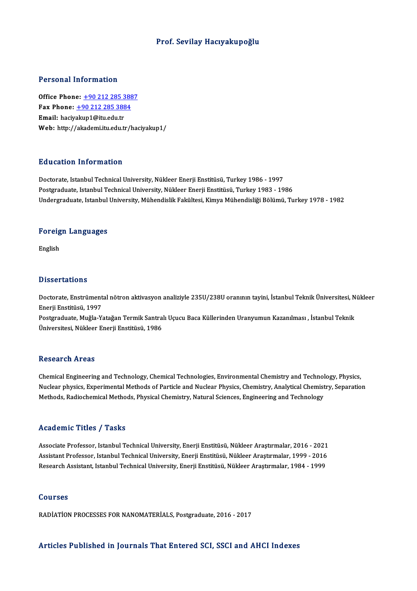## Prof. Sevilay Hacıyakupoğlu

## Personal Information

**Personal Information<br>Office Phone: +90 212 285 3887**<br>Fax Phone: +90 212 295 2994 1 0100111 11101 1111011<br>Office Phone: <u>+90 212 285 3884</u><br>Fmail: bacivalun1@itu.edu.tr Office Phone: <u>+90 212 285 3</u><br>Fax Phone: <u>+90 212 285 388</u><br>Email: haciy[akup1@itu.edu.tr](tel:+90 212 285 3884)<br>Web: http://akadomi.itu.edu.tr Fax Phone:  $\pm$ 90 212 285 3884<br>Email: haciyakup1@itu.edu.tr<br>Web: http://akademi.itu.edu.tr/haciyakup1/

### Education Information

Doctorate, Istanbul Technical University, Nükleer Enerji Enstitüsü, Turkey 1986 - 1997 Postgraduate, Istanbul Technical University, Nükleer Enerji Enstitüsü, Turkey 1983 - 1986 Undergraduate, Istanbul University, Mühendislik Fakültesi, Kimya Mühendisliği Bölümü, Turkey 1978 - 1982

## <sub>ondergraduate, istanbul</sub><br>Foreign Languages **Foreig**<br>English

# Dissertations

Doctorate, Enstrümental nötron aktivasyon analiziyle 235U/238U oranının tayini, İstanbul Teknik Üniversitesi, Nükleer Enerji Enstitüsü, 1997 Doctorate, Enstrümental nötron aktivasyon analiziyle 235U/238U oranının tayini, İstanbul Teknik Üniversitesi, N<br>Enerji Enstitüsü, 1997<br>Postgraduate, Muğla-Yatağan Termik Santralı Uçucu Baca Küllerinden Uranyumun Kazanılmas

Enerji Enstitüsü, 1997<br>Postgraduate, Muğla-Yatağan Termik Santra<br>Üniversitesi, Nükleer Enerji Enstitüsü, 1986 Üniversitesi, Nükleer Enerji Enstitüsü, 1986<br>Research Areas

Research Areas<br>Chemical Engineering and Technology, Chemical Technologies, Environmental Chemistry and Technology, Physics,<br>Nuclear physics, Eunerimental Methods of Perticle and Nuclear Physics, Chemistry, Analytical Chemi Nuclear physics, Experimental Methods of Particle and Nuclear Physics, Chemistry, Analytical Chemistry, Separation<br>Methods, Radiochemical Methods, Physical Chemistry, Natural Sciences, Engineering and Technology Chemical Engineering and Technology, Chemical Technologies, Environmental Chemistry and Technol<br>Nuclear physics, Experimental Methods of Particle and Nuclear Physics, Chemistry, Analytical Chemist<br>Methods, Radiochemical Me

#### Academic Titles / Tasks

Academic Titles / Tasks<br>Associate Professor, Istanbul Technical University, Enerji Enstitüsü, Nükleer Araştırmalar, 2016 - 2021<br>Assistant Professor, Istanbul Technical University, Enerji Enstitüsü, Nükleer Arastırmalar, 19 Associate Professor, Istanbul Technical University, Enerji Enstitüsü, Nükleer Araştırmalar, 2016 - 2021<br>Assistant Professor, Istanbul Technical University, Enerji Enstitüsü, Nükleer Araştırmalar, 1999 - 2016<br>Besearsk Assis Associate Professor, Istanbul Technical University, Enerji Enstitüsü, Nükleer Araştırmalar, 2016 - 2021<br>Assistant Professor, Istanbul Technical University, Enerji Enstitüsü, Nükleer Araştırmalar, 1999 - 2016<br>Research Assis Research Assistant, Istanbul Technical University, Enerji Enstitüsü, Nükleer Araştırmalar, 1984 - 1999<br>Courses

RADİATİON PROCESSES FOR NANOMATERİALS, Postgraduate, 2016 - 2017

#### Articles Published in Journals That Entered SCI, SSCI and AHCI Indexes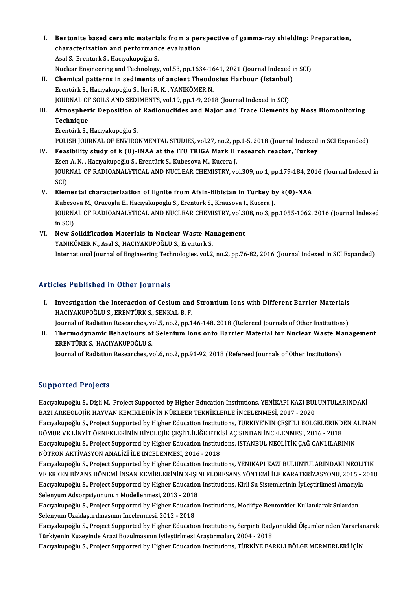- I. Bentonite based ceramic materials from a perspective of gamma-ray shielding: Preparation,<br>characterization and performance evaluation Bentonite based ceramic materials from a per<br>characterization and performance evaluation Bentonite based ceramic materia<br>characterization and performand<br>Asal S., Erenturk S., Hacıyakupoğlu S.<br>Nuclear Engineering and Technologu characterization and performance evaluation<br>Asal S., Erenturk S., Hacıyakupoğlu S.<br>Nuclear Engineering and Technology, vol.53, pp.1634-1641, 2021 (Journal Indexed in SCI)<br>Chamisel natterna in acdiments of ansient Theodosiu Asal S., Erenturk S., Hacıyakupoğlu S.<br>Nuclear Engineering and Technology, vol.53, pp.1634-1641, 2021 (Journal Indexed in S. University S. Harbour (Istanbul)<br>Frontürk S. Hacıyakupoğlu S. İlori B. K. VANIKÖMER N
- Nuclear Engineering and Technology, vol.53, pp.1634-16<br>Chemical patterns in sediments of ancient Theodo<br>Erentürk S., Hacıyakupoğlu S., İleri R. K. , YANIKÖMER N.<br>JOUPMAL OF SOU S.AND SEDIMENTS, vol.19, pp.1, 9, 201 Chemical patterns in sediments of ancient Theodosius Harbour (Istanbul)<br>Erentürk S., Hacıyakupoğlu S., İleri R. K. , YANIKÖMER N.<br>JOURNAL OF SOILS AND SEDIMENTS, vol.19, pp.1-9, 2018 (Journal Indexed in SCI)<br>Atmospheris De Erentürk S., Hacıyakupoğlu S., İleri R. K. , YANIKÖMER N.<br>JOURNAL OF SOILS AND SEDIMENTS, vol.19, pp.1-9, 2018 (Journal Indexed in SCI)<br>III. Atmospheric Deposition of Radionuclides and Major and Trace Elements by Moss
- JOURNAL OF SOILS AND SEDIMENTS, vol.19, pp.1-9, 2018 (Journal Indexed in SCI)<br>Atmospheric Deposition of Radionuclides and Major and Trace Elements<br>Technique<br>Erentürk S., Hacıyakupoğlu S. Atmospheric Deposition o<br>Technique<br>Erentürk S., Hacıyakupoğlu S.<br>POLISH IOUPNAL OF ENVIPO Technique<br>Erentürk S., Hacıyakupoğlu S.<br>POLISH JOURNAL OF ENVIRONMENTAL STUDIES, vol.27, no.2, pp.1-5, 2018 (Journal Indexed in SCI Expanded)<br>Foosibility study of k (0), INAA at the ITU TPICA Mark II researsh reaster. Turk

Erentürk S., Hacıyakupoğlu S.<br>POLISH JOURNAL OF ENVIRONMENTAL STUDIES, vol.27, no.2, pp.1-5, 2018 (Journal Indexed<br>IV. Feasibility study of k (0)-INAA at the ITU TRIGA Mark II research reactor, Turkey POLISH JOURNAL OF ENVIRONMENTAL STUDIES, vol.27, no.2, p<sub>l</sub><br>Feasibility study of k (0)-INAA at the ITU TRIGA Mark II<br>Esen A. N. , Hacıyakupoğlu S., Erentürk S., Kubesova M., Kucera J.<br>JOURNAL OF RADIOANALYTICAL AND NUCLEAR Feasibility study of k (0)-INAA at the ITU TRIGA Mark II research reactor, Turkey<br>Esen A. N. , Hacıyakupoğlu S., Erentürk S., Kubesova M., Kucera J.<br>JOURNAL OF RADIOANALYTICAL AND NUCLEAR CHEMISTRY, vol.309, no.1, pp.179-1 Esen<br>JOUR<br>SCI)<br>Elem JOURNAL OF RADIOANALYTICAL AND NUCLEAR CHEMISTRY, vol.309, no.1, pp.179-184, 20<br>SCI)<br>V. Elemental characterization of lignite from Afsin-Elbistan in Turkey by k(0)-NAA<br>Kubessya M. Orvesslu E. Hasymbungslu S. Epentürk S. Kr SCI)<br>V. Elemental characterization of lignite from Afsin-Elbistan in Turkey by k(0)-NAA

- JOURNAL OF RADIOANALYTICAL AND NUCLEAR CHEMISTRY, vol.308, no.3, pp.1055-1062, 2016 (Journal Indexed<br>in SCI) Kubesova M., Orucoglu E., Hacıyakupoglu S., Erentürk S., Krausova I., Kucera J. JOURNAL OF RADIOANALYTICAL AND NUCLEAR CHEMISTRY, vol.3<br>in SCI)<br>VI. New Solidification Materials in Nuclear Waste Management<br>WANIKÖMED N. Acel S. HACIYAKUROČLU S. Frontürk S.
- in SCI)<br>New Solidification Materials in Nuclear Waste Ma<br>YANIKÖMER N., Asal S., HACIYAKUPOĞLU S., Erentürk S.<br>International Journal of Engineering Technologies, vol 2 YANIKÖMER N., Asal S., HACIYAKUPOĞLU S., Erentürk S.<br>International Journal of Engineering Technologies, vol.2, no.2, pp.76-82, 2016 (Journal Indexed in SCI Expanded)

## Articles Published in Other Journals

I. Investigation the Interaction of Cesium and Strontium Ions with Different Barrier Materials<br>I. Investigation the Interaction of Cesium and Strontium Ions with Different Barrier Materials<br>HACIVAVIIDOČLUS ERENTIDVS SENVAL HEC PUBLISHED IN SUNCT JOURNALS<br>Investigation the Interaction of Cesium and<br>HACIYAKUPOĞLU S., ERENTÜRK S., ŞENKAL B. F.<br>Journal of Bodiation Besearshee, ual 5, no 2, nn 1 Investigation the Interaction of Cesium and Strontium Ions with Different Barrier Materials<br>HACIYAKUPOĞLU S., ERENTÜRK S., ŞENKAL B. F.<br>Journal of Radiation Researches, vol.5, no.2, pp.146-148, 2018 (Refereed Journals of O

HACIYAKUPOĞLU S., ERENTÜRK S., ŞENKAL B. F.<br>Journal of Radiation Researches, vol.5, no.2, pp.146-148, 2018 (Refereed Journals of Other Institutions)<br>II. Thermodynamic Behaviours of Selenium Ions onto Barrier Material f Journal of Radiation Researches, ve<br>Thermodynamic Behaviours of<br>ERENTÜRK S., HACIYAKUPOĞLU S.<br>Journal of Padiation Besearches, v Thermodynamic Behaviours of Selenium Ions onto Barrier Material for Nuclear Waste Ma<br>ERENTÜRK S., HACIYAKUPOĞLU S.<br>Journal of Radiation Researches, vol.6, no.2, pp.91-92, 2018 (Refereed Journals of Other Institutions)

Journal of Radiation Researches, vol.6, no.2, pp.91-92, 2018 (Refereed Journals of Other Institutions)<br>Supported Projects

Supported Projects<br>Hacıyakupoğlu S., Dişli M., Project Supported by Higher Education Institutions, YENİKAPI KAZI BULUNTULARINDAKİ<br>RAZI ARKEQLOJİK HAYVAN KEMİKI ERİNİN NÜKI EER TEKNİKI ERLE İNCELENMESİ 2017–2020 BAPPOLICA I I OJOCIS<br>Hacıyakupoğlu S., Dişli M., Project Supported by Higher Education Institutions, YENİKAPI KAZI BUL<br>BAZI ARKEOLOJİK HAYVAN KEMİKLERİNİN NÜKLEER TEKNİKLERLE İNCELENMESİ, 2017 - 2020<br>Hacıyakunoğlu S. Proje Hacıyakupoğlu S., Dişli M., Project Supported by Higher Education Institutions, YENİKAPI KAZI BULUNTULARINDAKİ<br>BAZI ARKEOLOJİK HAYVAN KEMİKLERİNİN NÜKLEER TEKNİKLERLE İNCELENMESİ, 2017 - 2020<br>Hacıyakupoğlu S., Project Supp BAZI ARKEOLOJİK HAYVAN KEMİKLERİNİN NÜKLEER TEKNİKLERLE İNCELENMESİ, 2017 - 2020<br>Hacıyakupoğlu S., Project Supported by Higher Education Institutions, TÜRKİYE'NİN ÇEŞİTLİ BÖLGELERİND<br>KÖMÜR VE LİNYİT ÖRNEKLERİNİN BİYOLOJİK Hacıyakupoğlu S., Project Supported by Higher Education Institutions, TÜRKİYE'NİN ÇEŞİTLİ BÖLGELERİNDEN A<br>KÖMÜR VE LİNYİT ÖRNEKLERİNİN BİYOLOJİK ÇEŞİTLİLİĞE ETKİSİ AÇISINDAN İNCELENMESİ, 2016 - 2018<br>Hacıyakupoğlu S., Proje KÖMÜR VE LİNYİT ÖRNEKLERİNİN BİYOLOJİK ÇEŞİTLİLİĞE ETKİ<br>Hacıyakupoğlu S., Project Supported by Higher Education Institut<br>NÖTRON AKTİVASYON ANALİZİ İLE INCELENMESİ, 2016 - 2018<br>Hacıyakupoğlu S. Project Supported by Higher E Hacıyakupoğlu S., Project Supported by Higher Education Institutions, ISTANBUL NEOLİTİK ÇAĞ CANLILARININ<br>NÖTRON AKTİVASYON ANALİZİ İLE INCELENMESİ, 2016 - 2018<br>Hacıyakupoğlu S., Project Supported by Higher Education Instit

NÖTRON AKTİVASYON ANALİZİ İLE INCELENMESİ, 2016 - 2018<br>Hacıyakupoğlu S., Project Supported by Higher Education Institutions, YENİKAPI KAZI BULUNTULARINDAKİ NEOLİTİK<br>VE ERKEN BİZANS DÖNEMİ İNSAN KEMİRLERİNİN X-IŞINI FLORESA Hacıyakupoğlu S., Project Supported by Higher Education Institutions, YENİKAPI KAZI BULUNTULARINDAKİ NEOLİ'<br>VE ERKEN BİZANS DÖNEMİ İNSAN KEMİRLERİNİN X-IŞINI FLORESANS YÖNTEMİ İLE KARATERİZASYONU, 2015 - 2<br>Hacıyakupoğlu S. VE ERKEN BİZANS DÖNEMİ İNSAN KEMİRLERİNİN X-IŞII<br>Hacıyakupoğlu S., Project Supported by Higher Education<br>Selenyum Adsorpsiyonunun Modellenmesi, 2013 - 2018<br>Hagyplunoğlu S., Project Supported by Higher Education

Hacıyakupoğlu S., Project Supported by Higher Education Institutions, Kirli Su Sistemlerinin İyileştirilmesi Amacıyla<br>Selenyum Adsorpsiyonunun Modellenmesi, 2013 - 2018<br>Hacıyakupoğlu S., Project Supported by Higher Educati Selenyum Adsorpsiyonunun Modellenmesi, 2013 - 2018<br>Hacıyakupoğlu S., Project Supported by Higher Educatio<br>Selenyum Uzaklaştırılmasının İncelenmesi, 2012 - 2018<br>Hacuralnınoğlu S. Project Supported bu Higher Educatio Hacıyakupoğlu S., Project Supported by Higher Education Institutions, Modifiye Bentonitler Kullanılarak Sulardan<br>Selenyum Uzaklaştırılmasının İncelenmesi, 2012 - 2018<br>Hacıyakupoğlu S., Project Supported by Higher Education

Selenyum Uzaklaştırılmasının İncelenmesi, 2012 - 2018<br>Hacıyakupoğlu S., Project Supported by Higher Education Institutions, Serpinti Rady<br>Türkiyenin Kuzeyinde Arazi Bozulmasının İyileştirlmesi Araştırmaları, 2004 - 2018<br>Ha Hacıyakupoğlu S., Project Supported by Higher Education Institutions, Serpinti Radyonüklid Ölçümlerinden Yararla<br>Türkiyenin Kuzeyinde Arazi Bozulmasının İyileştirlmesi Araştırmaları, 2004 - 2018<br>Hacıyakupoğlu S., Project S